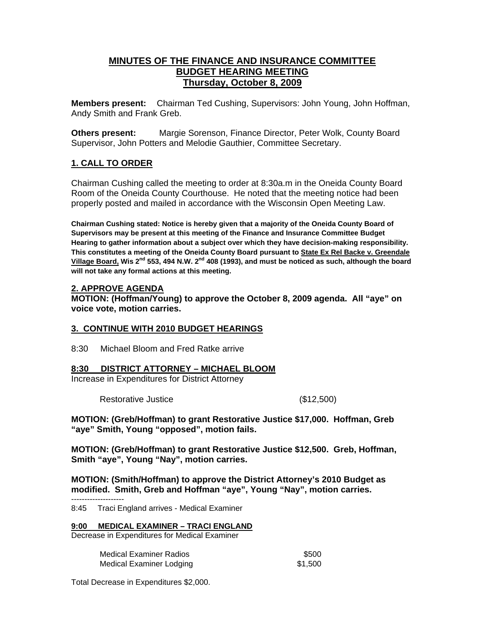# **MINUTES OF THE FINANCE AND INSURANCE COMMITTEE BUDGET HEARING MEETING Thursday, October 8, 2009**

**Members present:** Chairman Ted Cushing, Supervisors: John Young, John Hoffman, Andy Smith and Frank Greb.

**Others present:** Margie Sorenson, Finance Director, Peter Wolk, County Board Supervisor, John Potters and Melodie Gauthier, Committee Secretary.

## **1. CALL TO ORDER**

Chairman Cushing called the meeting to order at 8:30a.m in the Oneida County Board Room of the Oneida County Courthouse. He noted that the meeting notice had been properly posted and mailed in accordance with the Wisconsin Open Meeting Law.

**Chairman Cushing stated: Notice is hereby given that a majority of the Oneida County Board of Supervisors may be present at this meeting of the Finance and Insurance Committee Budget Hearing to gather information about a subject over which they have decision-making responsibility. This constitutes a meeting of the Oneida County Board pursuant to State Ex Rel Backe v. Greendale**  Village Board, Wis 2<sup>nd</sup> 553, 494 N.W. 2<sup>nd</sup> 408 (1993), and must be noticed as such, although the board **will not take any formal actions at this meeting.** 

## **2. APPROVE AGENDA**

**MOTION: (Hoffman/Young) to approve the October 8, 2009 agenda. All "aye" on voice vote, motion carries.** 

## **3. CONTINUE WITH 2010 BUDGET HEARINGS**

8:30 Michael Bloom and Fred Ratke arrive

## **8:30 DISTRICT ATTORNEY – MICHAEL BLOOM**

Increase in Expenditures for District Attorney

Restorative Justice (\$12,500)

**MOTION: (Greb/Hoffman) to grant Restorative Justice \$17,000. Hoffman, Greb "aye" Smith, Young "opposed", motion fails.** 

**MOTION: (Greb/Hoffman) to grant Restorative Justice \$12,500. Greb, Hoffman, Smith "aye", Young "Nay", motion carries.** 

**MOTION: (Smith/Hoffman) to approve the District Attorney's 2010 Budget as modified. Smith, Greb and Hoffman "aye", Young "Nay", motion carries.** 

 -------------------- 8:45 Traci England arrives - Medical Examiner

**9:00 MEDICAL EXAMINER – TRACI ENGLAND**

Decrease in Expenditures for Medical Examiner

| <b>Medical Examiner Radios</b> | \$500   |
|--------------------------------|---------|
| Medical Examiner Lodging       | \$1.500 |

Total Decrease in Expenditures \$2,000.